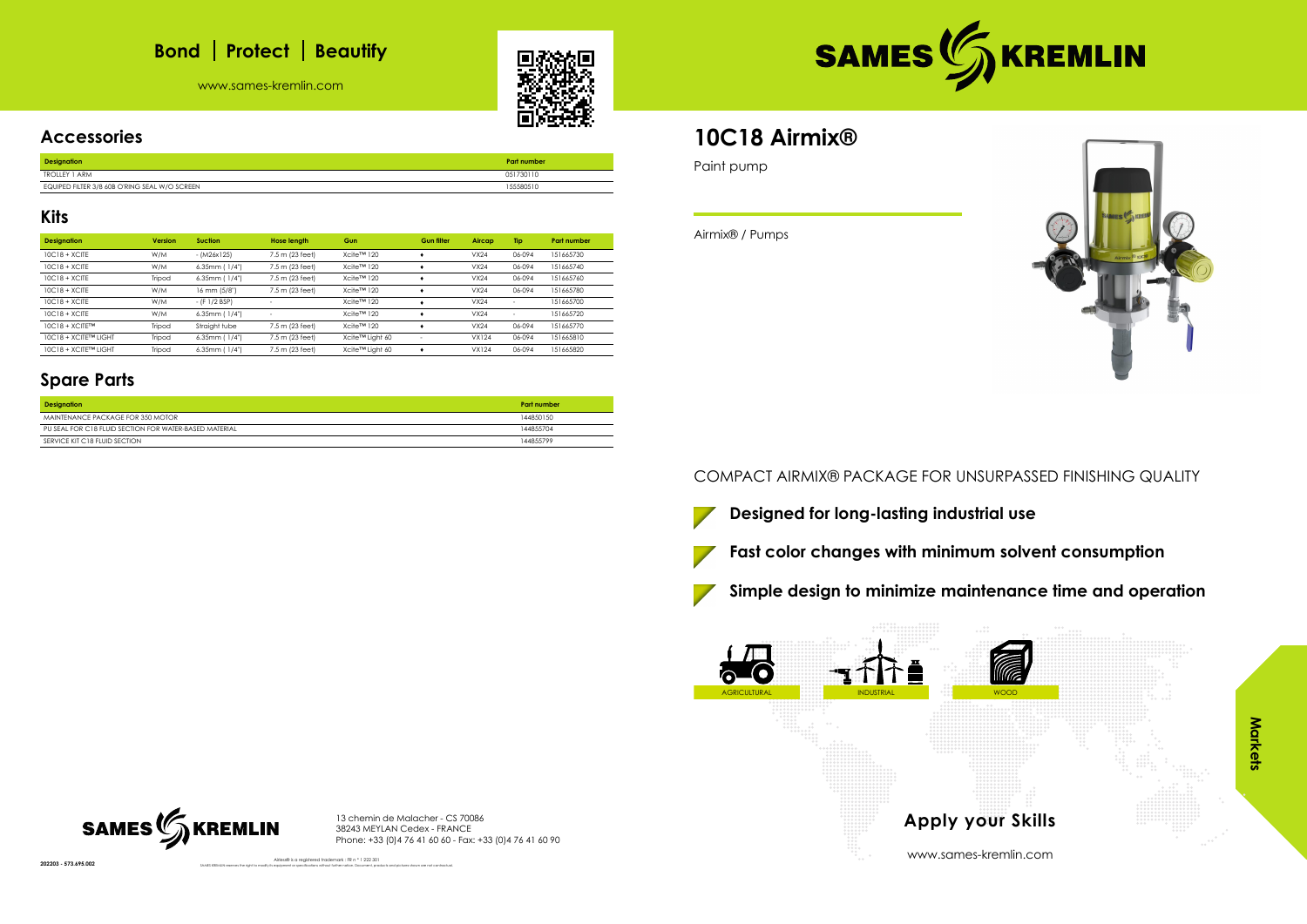## **Bond** | Protect | Beautify

www.sames-kremlin.com





### **Accessories**

| <b>Designation</b>                            | <b>Part number</b> |
|-----------------------------------------------|--------------------|
| <b>TROLLEY 1 ARM</b>                          | 051730110          |
| EQUIPED FILTER 3/8 60B O'RING SEAL W/O SCREEN | 155580510          |

### **Kits**

| <b>Designation</b>   | <b>Version</b> | <b>Suction</b>      | <b>Hose length</b>       | Gun             | <b>Gun filter</b> | Aircap       | Tip    | <b>Part number</b> |
|----------------------|----------------|---------------------|--------------------------|-----------------|-------------------|--------------|--------|--------------------|
| $10C18 + XCITE$      | W/M            | $- (M26x125)$       | 7.5 m (23 feet)          | Xcite™ 120      |                   | VX24         | 06-094 | 151665730          |
| $10C18 + XCITE$      | W/M            | $6.35mm$ ( $1/4"$ ) | 7.5 m (23 feet)          | Xcite™ 120      |                   | VX24         | 06-094 | 151665740          |
| $10C18 + XCITE$      | Tripod         | $6.35mm$ ( $1/4"$ ) | 7.5 m (23 feet)          | Xcite™ 120      |                   | VX24         | 06-094 | 151665760          |
| $10C18 + XCITE$      | W/M            | 16 mm (5/8")        | 7.5 m (23 feet)          | Xcite™ 120      |                   | VX24         | 06-094 | 151665780          |
| $10C18 + XCITE$      | W/M            | - (F 1/2 BSP)       |                          | Xcite™ 120      |                   | VX24         |        | 151665700          |
| $10C18 + XCITE$      | W/M            | $6.35mm$ ( $1/4"$ ) | $\overline{\phantom{a}}$ | Xcite™ 120      |                   | VX24         |        | 151665720          |
| 10C18 + XCITE™       | Tripod         | Straight tube       | 7.5 m (23 feet)          | Xcite™ 120      |                   | VX24         | 06-094 | 151665770          |
| 10C18 + XCITE™ LIGHT | Tripod         | $6.35mm$ ( $1/4"$ ) | 7.5 m (23 feet)          | Xcite™ Light 60 |                   | <b>VX124</b> | 06-094 | 151665810          |
| 10C18 + XCITE™ LIGHT | Tripod         | $6.35mm$ ( $1/4"$ ) | 7.5 m (23 feet)          | Xcite™ Light 60 |                   | <b>VX124</b> | 06-094 | 151665820          |

### **Spare Parts**

| <b>Designation</b>                                     | Part number |
|--------------------------------------------------------|-------------|
| MAINTENANCE PACKAGE FOR 350 MOTOR                      | 144850150   |
| PU SEAL FOR C18 FLUID SECTION FOR WATER-BASED MATERIAL | 144855704   |
| SERVICE KIT C18 FLUID SECTION                          | 144855799   |

13 chemin de Malacher - CS 70086 38243 MEYLAN Cedex - FRANCE Phone: +33 (0)4 76 41 60 60 - Fax: +33 (0)4 76 41 60 90

SAMES KREMLIN reserves the right to modify its equipment or specifications without further notice. Document, products and pictures shown are not contractual.



Airless® is a registered trademark : FR n ° 1 222 301

## **10C18 Airmix®**

Paint pump

## Airmix® / Pumps

### COMPACT AIRMIX® PACKAGE FOR UNSURPASSED FINISHING QUALITY





**Simple design to minimize maintenance time and operation**